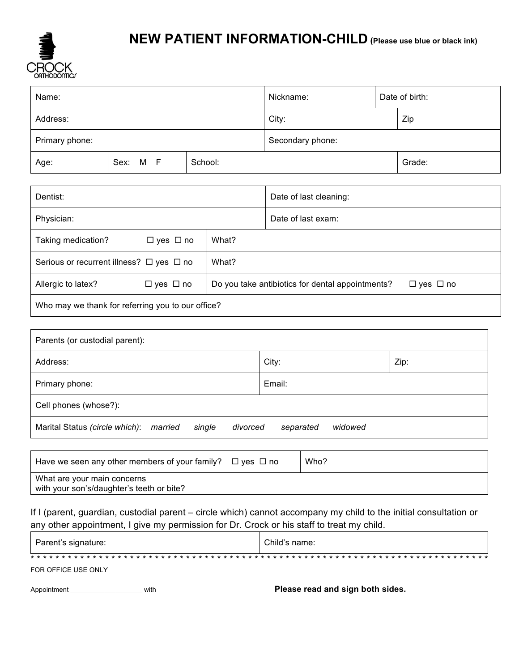

# **NEW PATIENT INFORMATION-CHILD (Please use blue or black ink)**

| Name:          |          | Nickname:        |     | Date of birth: |        |
|----------------|----------|------------------|-----|----------------|--------|
| Address:       |          | City:            | Zip |                |        |
| Primary phone: |          | Secondary phone: |     |                |        |
| Age:           | Sex: M F | School:          |     |                | Grade: |

| Dentist:                                           |                      |                                                  | Date of last cleaning: |  |  |  |
|----------------------------------------------------|----------------------|--------------------------------------------------|------------------------|--|--|--|
| Physician:                                         |                      |                                                  | Date of last exam:     |  |  |  |
| Taking medication?                                 | $\Box$ yes $\Box$ no | What?                                            |                        |  |  |  |
| Serious or recurrent illness? $\Box$ yes $\Box$ no |                      | What?                                            |                        |  |  |  |
| Allergic to latex?                                 | $\Box$ yes $\Box$ no | Do you take antibiotics for dental appointments? | $\Box$ yes $\Box$ no   |  |  |  |
| Who may we thank for referring you to our office?  |                      |                                                  |                        |  |  |  |

| Parents (or custodial parent):                               |                      |  |  |  |  |  |
|--------------------------------------------------------------|----------------------|--|--|--|--|--|
| Address:                                                     | City:<br>Zip:        |  |  |  |  |  |
| Primary phone:                                               | Email:               |  |  |  |  |  |
| Cell phones (whose?):                                        |                      |  |  |  |  |  |
| Marital Status (circle which): married<br>single<br>divorced | widowed<br>separated |  |  |  |  |  |

| Have we seen any other members of your family? $\Box$ yes $\Box$ no      | Who? |
|--------------------------------------------------------------------------|------|
| What are your main concerns<br>with your son's/daughter's teeth or bite? |      |

If I (parent, guardian, custodial parent – circle which) cannot accompany my child to the initial consultation or any other appointment, I give my permission for Dr. Crock or his staff to treat my child.

| Parent's signature: | Child's name: |
|---------------------|---------------|
|                     |               |
| FOR OFFICE USE ONLY |               |

Appointment \_\_\_\_\_\_\_\_\_\_\_\_\_\_\_\_\_\_\_\_\_\_\_with **Please read and sign both sides.**